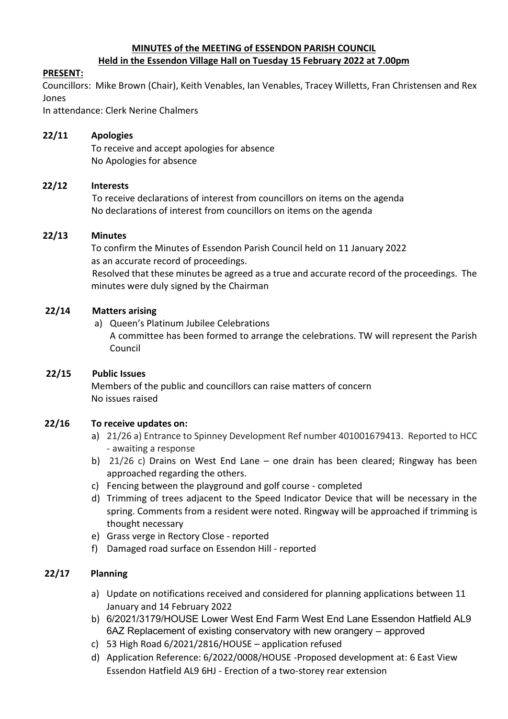# **MINUTES of the MEETING of ESSENDON PARISH COUNCIL Held in the Essendon Village Hall on Tuesday 15 February 2022 at 7.00pm**

# **PRESENT:**

 Councillors: Mike Brown (Chair), Keith Venables, Ian Venables, Tracey Willetts, Fran Christensen and Rex Jones

In attendance: Clerk Nerine Chalmers

## **22/11 Apologies**

To receive and accept apologies for absence No Apologies for absence

### **22/12 Interests**

To receive declarations of interest from councillors on items on the agenda No declarations of interest from councillors on items on the agenda

### **22/13 Minutes**

 To confirm the Minutes of Essendon Parish Council held on 11 January 2022 as an accurate record of proceedings. Resolved that these minutes be agreed as a true and accurate record of the proceedings. The minutes were duly signed by the Chairman

### **22/14 Matters arising**

a) Queen's Platinum Jubilee Celebrations A committee has been formed to arrange the celebrations. TW will represent the Parish Council

## **22/15 Public Issues**

Members of the public and councillors can raise matters of concern No issues raised

#### **22/16 To receive updates on:**

- a) 21/26 a) Entrance to Spinney Development Ref number 401001679413. Reported to HCC - awaiting a response
- b) 21/26 c) Drains on West End Lane one drain has been cleared; Ringway has been approached regarding the others.
- c) Fencing between the playground and golf course completed
- d) Trimming of trees adjacent to the Speed Indicator Device that will be necessary in the spring. Comments from a resident were noted. Ringway will be approached if trimming is thought necessary
- e) Grass verge in Rectory Close reported
- f) Damaged road surface on Essendon Hill reported

## **22/17 Planning**

- a) Update on notifications received and considered for planning applications between 11 January and 14 February 2022
- b) 6/2021/3179/HOUSE Lower West End Farm West End Lane Essendon Hatfield AL9 6AZ Replacement of existing conservatory with new orangery – approved
- c) 53 High Road 6/2021/2816/HOUSE application refused
- d) Application Reference: 6/2022/0008/HOUSE -Proposed development at: 6 East View Essendon Hatfield AL9 6HJ - Erection of a two-storey rear extension